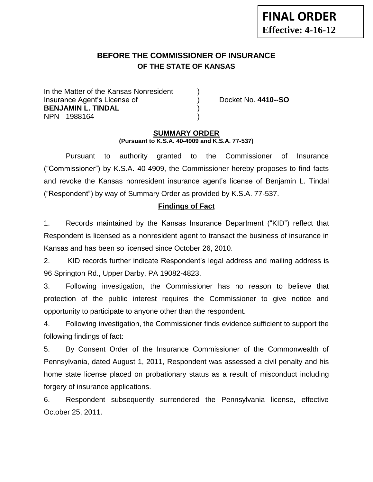# **BEFORE THE COMMISSIONER OF INSURANCE OF THE STATE OF KANSAS**

In the Matter of the Kansas Nonresident Insurance Agent's License of ) Docket No. **4410--SO BENJAMIN L. TINDAL** ) NPN 1988164 )

# **SUMMARY ORDER (Pursuant to K.S.A. 40-4909 and K.S.A. 77-537)**

Pursuant to authority granted to the Commissioner of Insurance ("Commissioner") by K.S.A. 40-4909, the Commissioner hereby proposes to find facts and revoke the Kansas nonresident insurance agent's license of Benjamin L. Tindal ("Respondent") by way of Summary Order as provided by K.S.A. 77-537.

# **Findings of Fact**

1. Records maintained by the Kansas Insurance Department ("KID") reflect that Respondent is licensed as a nonresident agent to transact the business of insurance in Kansas and has been so licensed since October 26, 2010.

2. KID records further indicate Respondent's legal address and mailing address is 96 Springton Rd., Upper Darby, PA 19082-4823.

3. Following investigation, the Commissioner has no reason to believe that protection of the public interest requires the Commissioner to give notice and opportunity to participate to anyone other than the respondent.

4. Following investigation, the Commissioner finds evidence sufficient to support the following findings of fact:

5. By Consent Order of the Insurance Commissioner of the Commonwealth of Pennsylvania, dated August 1, 2011, Respondent was assessed a civil penalty and his home state license placed on probationary status as a result of misconduct including forgery of insurance applications.

6. Respondent subsequently surrendered the Pennsylvania license, effective October 25, 2011.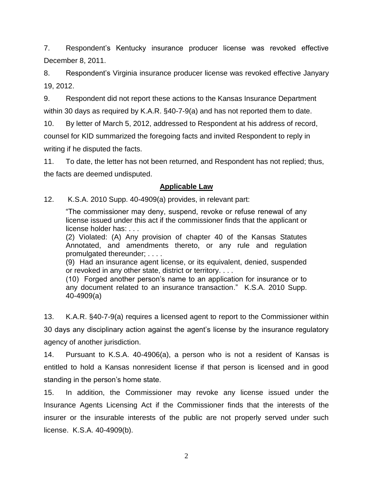7. Respondent's Kentucky insurance producer license was revoked effective December 8, 2011.

8. Respondent's Virginia insurance producer license was revoked effective Janyary 19, 2012.

9. Respondent did not report these actions to the Kansas Insurance Department within 30 days as required by K.A.R. §40-7-9(a) and has not reported them to date.

10. By letter of March 5, 2012, addressed to Respondent at his address of record, counsel for KID summarized the foregoing facts and invited Respondent to reply in writing if he disputed the facts.

11. To date, the letter has not been returned, and Respondent has not replied; thus, the facts are deemed undisputed.

# **Applicable Law**

12. K.S.A. 2010 Supp. 40-4909(a) provides, in relevant part:

"The commissioner may deny, suspend, revoke or refuse renewal of any license issued under this act if the commissioner finds that the applicant or license holder has: . . .

(2) Violated: (A) Any provision of chapter 40 of the Kansas Statutes Annotated, and amendments thereto, or any rule and regulation promulgated thereunder; . . . .

(9) Had an insurance agent license, or its equivalent, denied, suspended or revoked in any other state, district or territory. . . .

(10) Forged another person's name to an application for insurance or to any document related to an insurance transaction." K.S.A. 2010 Supp. 40-4909(a)

13. K.A.R. §40-7-9(a) requires a licensed agent to report to the Commissioner within 30 days any disciplinary action against the agent's license by the insurance regulatory agency of another jurisdiction.

14. Pursuant to K.S.A. 40-4906(a), a person who is not a resident of Kansas is entitled to hold a Kansas nonresident license if that person is licensed and in good standing in the person's home state.

15. In addition, the Commissioner may revoke any license issued under the Insurance Agents Licensing Act if the Commissioner finds that the interests of the insurer or the insurable interests of the public are not properly served under such license. K.S.A. 40-4909(b).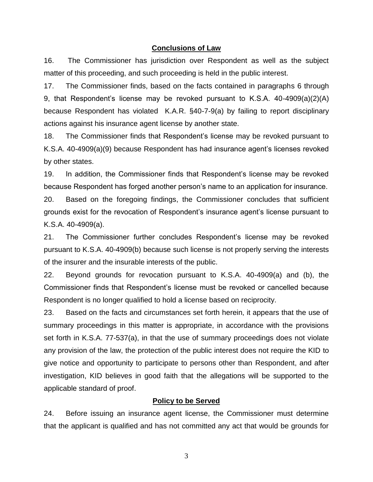#### **Conclusions of Law**

16. The Commissioner has jurisdiction over Respondent as well as the subject matter of this proceeding, and such proceeding is held in the public interest.

17. The Commissioner finds, based on the facts contained in paragraphs 6 through 9, that Respondent's license may be revoked pursuant to K.S.A. 40-4909(a)(2)(A) because Respondent has violated K.A.R. §40-7-9(a) by failing to report disciplinary actions against his insurance agent license by another state.

18. The Commissioner finds that Respondent's license may be revoked pursuant to K.S.A. 40-4909(a)(9) because Respondent has had insurance agent's licenses revoked by other states.

19. In addition, the Commissioner finds that Respondent's license may be revoked because Respondent has forged another person's name to an application for insurance.

20. Based on the foregoing findings, the Commissioner concludes that sufficient grounds exist for the revocation of Respondent's insurance agent's license pursuant to K.S.A. 40-4909(a).

21. The Commissioner further concludes Respondent's license may be revoked pursuant to K.S.A. 40-4909(b) because such license is not properly serving the interests of the insurer and the insurable interests of the public.

22. Beyond grounds for revocation pursuant to K.S.A. 40-4909(a) and (b), the Commissioner finds that Respondent's license must be revoked or cancelled because Respondent is no longer qualified to hold a license based on reciprocity.

23. Based on the facts and circumstances set forth herein, it appears that the use of summary proceedings in this matter is appropriate, in accordance with the provisions set forth in K.S.A. 77-537(a), in that the use of summary proceedings does not violate any provision of the law, the protection of the public interest does not require the KID to give notice and opportunity to participate to persons other than Respondent, and after investigation, KID believes in good faith that the allegations will be supported to the applicable standard of proof.

# **Policy to be Served**

24. Before issuing an insurance agent license, the Commissioner must determine that the applicant is qualified and has not committed any act that would be grounds for

3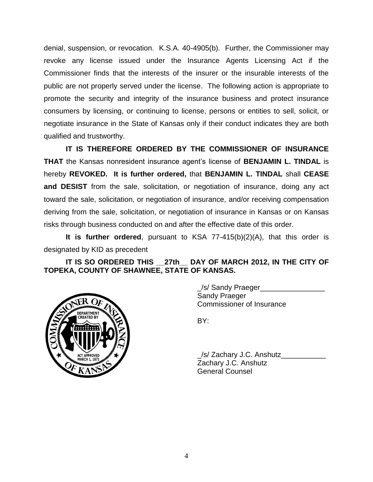denial, suspension, or revocation. K.S.A. 40-4905(b). Further, the Commissioner may revoke any license issued under the Insurance Agents Licensing Act if the Commissioner finds that the interests of the insurer or the insurable interests of the public are not properly served under the license. The following action is appropriate to promote the security and integrity of the insurance business and protect insurance consumers by licensing, or continuing to license, persons or entities to sell, solicit, or negotiate insurance in the State of Kansas only if their conduct indicates they are both qualified and trustworthy.

**IT IS THEREFORE ORDERED BY THE COMMISSIONER OF INSURANCE THAT** the Kansas nonresident insurance agent's license of **BENJAMIN L. TINDAL** is hereby **REVOKED. It is further ordered,** that **BENJAMIN L. TINDAL** shall **CEASE and DESIST** from the sale, solicitation, or negotiation of insurance, doing any act toward the sale, solicitation, or negotiation of insurance, and/or receiving compensation deriving from the sale, solicitation, or negotiation of insurance in Kansas or on Kansas risks through business conducted on and after the effective date of this order.

**It is further ordered**, pursuant to KSA 77-415(b)(2)(A), that this order is designated by KID as precedent

**IT IS SO ORDERED THIS \_\_27th\_\_ DAY OF MARCH 2012, IN THE CITY OF TOPEKA, COUNTY OF SHAWNEE, STATE OF KANSAS.**



\_/s/ Sandy Praeger\_\_\_\_\_\_\_\_\_\_\_\_\_\_\_\_ Sandy Praeger Commissioner of Insurance

BY:

\_/s/ Zachary J.C. Anshutz\_\_\_\_\_\_\_\_\_\_\_ Zachary J.C. Anshutz General Counsel